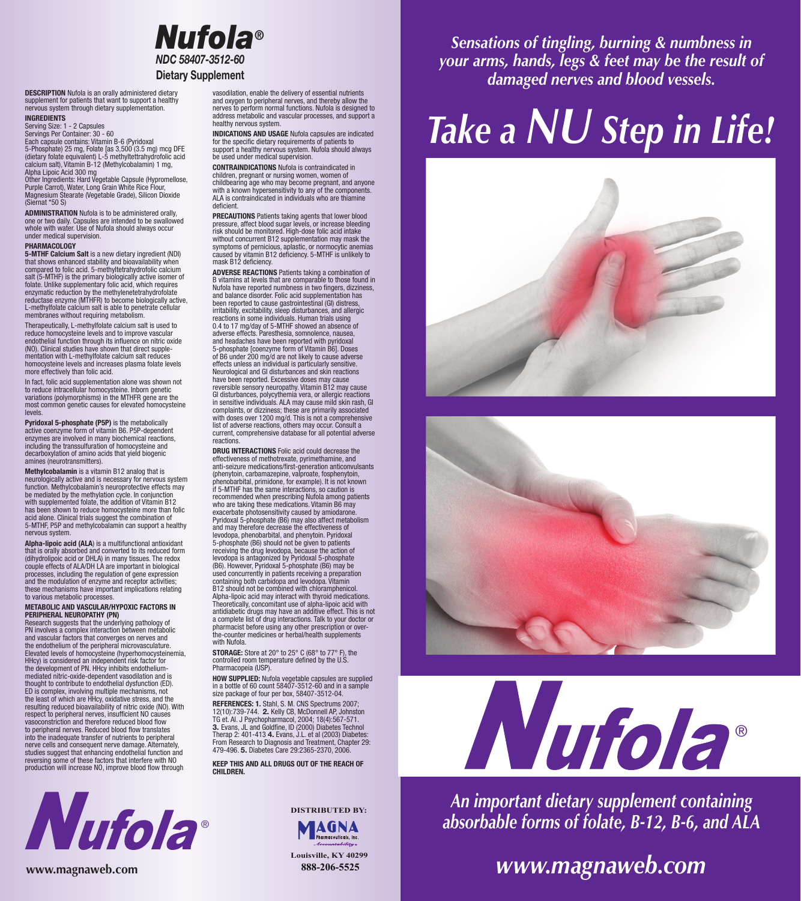

DESCRIPTION Nufola is an orally administered dietary supplement for patients that want to support a healthy nervous system through dietary supplementation. INGREDIENTS

### Serving Size: 1 - 2 Capsules

Servings Per Container: 30 - 60 Each capsule contains: Vitamin B-6 (Pyridoxal

5-Phosphate) 25 mg, Folate [as 3,500 (3.5 mg) mcg DFE (dietary folate equivalent) L-5 methyltettrahydrofolic acid calcium salt), Vitamin B-12 (Methylcobalamin) 1 mg, Alpha Lipoic Acid 300 mg

Other Ingredients: Hard Vegetable Capsule (Hypromellose, Purple Carrot), Water, Long Grain White Rice Flour, Magnesium Stearate (Vegetable Grade), Silicon Dioxide (Siernat \*50 S)

ADMINISTRATION Nufola is to be administered orally, one or two daily. Capsules are intended to be swallowed whole with water. Use of Nufola should always occur under medical supervision.

#### PHARMACOLOGY

5-MTHF Calcium Salt is a new dietary ingredient (NDI) that shows enhanced stability and bioavailability when compared to folic acid. 5-methyltetrahydrofolic calcium salt (5-MTHF) is the primary biologically active isomer of folate. Unlike supplementary folic acid, which requires enzymatic reduction by the methylenetetrahydrofolate reductase enzyme (MTHFR) to become biologically active, L-methylfolate calcium salt is able to penetrate cellular membranes without requiring metabolism.

Therapeutically, L-methylfolate calcium salt is used to reduce homocysteine levels and to improve vascular endothelial function through its influence on nitric oxide (NO). Clinical studies have shown that direct supplementation with L-methylfolate calcium salt reduces homocysteine levels and increases plasma folate levels more effectively than folic acid.

In fact, folic acid supplementation alone was shown not to reduce intracellular homocysteine. Inborn genetic variations (polymorphisms) in the MTHFR gene are the most common genetic causes for elevated homocysteine levels.

Pyridoxal 5-phosphate (P5P) is the metabolically active coenzyme form of vitamin B6. P5P-dependent enzymes are involved in many biochemical reactions, including the transsulfuration of homocysteine and decarboxylation of amino acids that yield biogenic amines (neurotransmitters).

**Methylcobalamin** is a vitamin B12 analog that is<br>neurologically active and is necessary for nervous logically active and is necessary for nervous system function. Methylcobalamin's neuroprotective effects may be mediated by the methylation cycle. In conjunction with supplemented folate, the addition of Vitamin B12 has been shown to reduce homocysteine more than folic acid alone. Clinical trials suggest the combination of 5-MTHF, P5P and methylcobalamin can support a healthy nervous system.

**Alpha-lipoic acid (ALA**) is a multifunctional antioxidant<br>that is orally absorbed and converted to its reduced form<br>(dihydrolipoic acid or DHLA) in many tissues. The redox couple effects of ALA/DH LA are important in biological processes, including the regulation of gene expression and the modulation of enzyme and receptor activities; these mechanisms have important implications relating to various metabolic processes.

#### METABOLIC AND VASCULAR/HYPOXIC FACTORS IN PERIPHERAL NEUROPATHY (PN)

Research suggests that the underlying pathology of PN involves a complex interaction between metabolic and vascular factors that converges on nerves and the endothelium of the peripheral microvasculature. Elevated levels of homocysteine (hyperhomocysteinemia, HHcy) is considered an independent risk factor for the development of PN. HHcy inhibits endothelium-mediated nitric-oxide-dependent vasodilation and is thought to contribute to endothelial dysfunction (ED). ED is complex, involving multiple mechanisms, not the least of which are HHcy, oxidative stress, and the resulting reduced bioavailability of nitric oxide (NO). With respect to peripheral nerves, insufficient NO causes vasoconstriction and therefore reduced blood flow to peripheral nerves. Reduced blood flow translates into the inadequate transfer of nutrients to peripheral nerve cells and consequent nerve damage. Alternately, studies suggest that enhancing endothelial function and reversing some of these factors that interfere with NO production will increase NO, improve blood flow through



vasodilation, enable the delivery of essential nutrients and oxygen to peripheral nerves, and thereby allow the nerves to perform normal functions. Nufola is designed to address metabolic and vascular processes, and support a healthy nervous system.

INDICATIONS AND USAGE Nufola capsules are indicated for the specific dietary requirements of patients to support a healthy nervous system. Nufola should always be used under medical supervision.

CONTRAINDICATIONS Nufola is contraindicated in children, pregnant or nursing women, women of childbearing age who may become pregnant, and anyone with a known hypersensitivity to any of the components. ALA is contraindicated in individuals who are thiamine deficient.

PRECAUTIONS Patients taking agents that lower blood pressure, affect blood sugar levels, or increase bleeding risk should be monitored. High-dose folic acid intake without concurrent B12 supplementation may mask the symptoms of pernicious, aplastic, or normocytic anemias caused by vitamin B12 deficiency. 5-MTHF is unlikely to mask B12 deficiency.

ADVERSE REACTIONS Patients taking a combination of B vitamins at levels that are comparable to those found in Nufola have reported numbness in two fingers, dizziness, and balance disorder. Folic acid supplementation has been reported to cause gastrointestinal (GI) distress, irritability, excitability, sleep disturbances, and allergic reactions in some individuals. Human trials using 0.4 to 17 mg/day of 5-MTHF showed an absence of adverse effects. Paresthesia, somnolence, nausea, and headaches have been reported with pyridoxal 5-phosphate [coenzyme form of Vitamin B6]. Doses of B6 under 200 mg/d are not likely to cause adverse effects unless an individual is particularly sensitive. Neurological and GI disturbances and skin reactions have been reported. Excessive doses may cause reversible sensory neuropathy. Vitamin B12 may cause GI disturbances, polycythemia vera, or allergic reactions in sensitive individuals. ALA may cause mild skin rash, GI complaints, or dizziness; these are primarily associated with doses over 1200 mg/d. This is not a comprehensive list of adverse reactions, others may occur. Consult a current, comprehensive database for all potential adverse reactions.

DRUG INTERACTIONS Folic acid could decrease the effectiveness of methotrexate, pyrimethamine, and anti-seizure medications/first-generation anticonvulsants (phenytoin, carbamazepine, valproate, fosphenytoin, phenobarbital, primidone, for example). It is not known if 5-MTHF has the same interactions, so caution is recommended when prescribing Nufola among patients who are taking these medications. Vitamin B6 may exacerbate photosensitivity caused by amiodarone. Pyridoxal 5-phosphate (B6) may also affect metabolism and may therefore decrease the effectiveness of levodopa, phenobarbital, and phenytoin. Pyridoxal 5-phosphate (B6) should not be given to patients receiving the drug levodopa, because the action of levodopa is antagonized by Pyridoxal 5-phosphate (B6). However, Pyridoxal 5-phosphate (B6) may be used concurrently in patients receiving a preparation containing both carbidopa and levodopa. Vitamin B12 should not be combined with chloramphenicol. Alpha-lipoic acid may interact with thyroid medications. Theoretically, concomitant use of alpha-lipoic acid with antidiabetic drugs may have an additive effect. This is not a complete list of drug interactions. Talk to your doctor or pharmacist before using any other prescription or over-the-counter medicines or herbal/health supplements with Nufola.

STORAGE: Store at 20° to 25° C (68° to 77° F), the controlled room temperature defined by the U.S. Pharmacopeia (USP).

HOW SUPPLIED: Nufola vegetable capsules are supplied in a bottle of 60 count 58407-3512-60 and in a sample size package of four per box, 58407-3512-04.

REFERENCES: 1. Stahl, S. M. CNS Spectrums 2007;<br>12(10):739-744. 2. Kelly CB, McDonnell AP, Johnston TG et. Al. J Psychopharmacol, 2004; 18(4):567-571. 3. Evans, JL and Goldfine, ID (2000) Diabetes Technol Therap 2: 401-413 4. Evans, J.L. et al (2003) Diabetes: From Research to Diagnosis and Treatment, Chapter 29: 479-496. 5. Diabetes Care 29:2365-2370, 2006.

KEEP THIS AND ALL DRUGS OUT OF THE REACH OF **CHILDREN** 



**Louisville, KY 40299**

*Sensations of tingling, burning & numbness in your arms, hands, legs & feet may be the result of damaged nerves and blood vessels.*

## *Take a NU Step in Life!*







*An important dietary supplement containing absorbable forms of folate, B-12, B-6, and ALA*

### *www.magnaweb.com*

**www.magnaweb.com 888-206-5525**